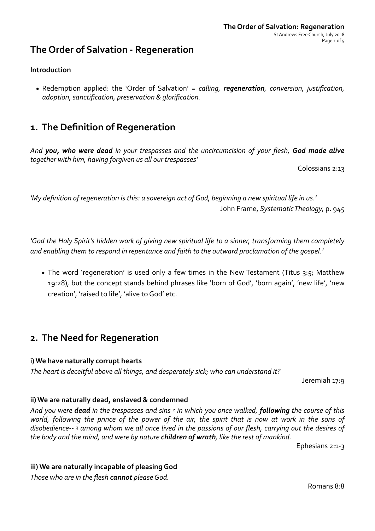## **The Order of Salvation - Regeneration**

### **Introduction**

• Redemption applied: the 'Order of Salvation' = calling, **regeneration**, conversion, justification, *adoption, sanctification, preservation & glorification.*

## **1.** The Definition of Regeneration

And **you, who were dead** in your trespasses and the uncircumcision of your flesh, **God made alive** together with him, having forgiven us all our trespasses'

Colossians 2:13

'My definition of regeneration is this: a sovereign act of God, beginning a new spiritual life in us.' John Frame, Systematic Theology, p. 945

'God the Holy Spirit's hidden work of giving new spiritual life to a sinner, transforming them completely and enabling them to respond in repentance and faith to the outward proclamation of the gospel.'

• The word 'regeneration' is used only a few times in the New Testament (Titus 3:5; Matthew 19:28), but the concept stands behind phrases like 'born of God', 'born again', 'new life', 'new creation', 'raised to life', 'alive to God' etc.

## **2.** The Need for Regeneration

### **i)** We have naturally corrupt hearts

The heart is deceitful above all things, and desperately sick; who can understand it?

Jeremiah 17:9

### **ii)** We are naturally dead, enslaved & condemned

And you were **dead** in the trespasses and sins <sup>2</sup> in which you once walked, **following** the course of this world, following the prince of the power of the air, the spirit that is now at work in the sons of disobedience-- <sup>3</sup> among whom we all once lived in the passions of our flesh, carrying out the desires of *the body and the mind, and were by nature children of wrath, like the rest of mankind.* 

Ephesians  $2:1-3$ 

### iii) We are naturally incapable of pleasing God

*Those who are in the flesh cannot please God.* 

Romans 8:8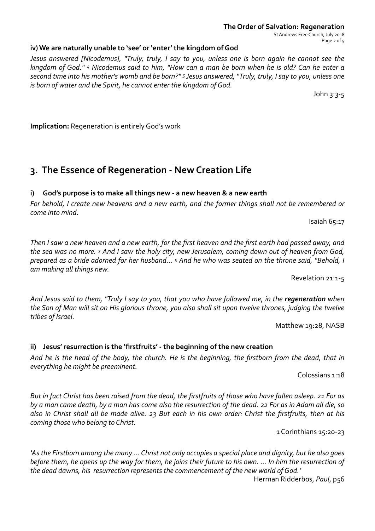## **The Order of Salvation: Regeneration**

St Andrews Free Church, July 2018 Page 2 of 5

## iv) We are naturally unable to 'see' or 'enter' the kingdom of God

*Jesus answered [Nicodemus], "Truly, truly, I say to you, unless one is born again he cannot see the kingdom* of God." 4 Nicodemus said to him, "How can a man be born when he is old? Can he enter a second time into his mother's womb and be born?" <sup>5</sup> Jesus answered, "Truly, truly, I say to you, unless one *is* born of water and the Spirit, he cannot enter the kingdom of God.

John  $3:3-5$ 

**Implication:** Regeneration is entirely God's work

# **3.** The Essence of Regeneration - New Creation Life

## i) God's purpose is to make all things new - a new heaven & a new earth

*For* behold, I create new heavens and a new earth, and the former things shall not be remembered or *come into mind.* 

Isaiah  $65:17$ 

*Then I* saw a new heaven and a new earth, for the first heaven and the first earth had passed away, and the sea was no more. <sup>2</sup> And I saw the holy city, new Jerusalem, coming down out of heaven from God, prepared as a bride adorned for her husband... <sup>5</sup> And he who was seated on the throne said, "Behold, I *am making all things new.* 

Revelation 21:1-5

And Jesus said to them, "Truly I say to you, that you who have followed me, in the **regeneration** when the Son of Man will sit on His glorious throne, you also shall sit upon twelve thrones, judging the twelve *tribes of Israel.* 

Matthew 19:28, NASB

## ii) Jesus' resurrection is the 'firstfruits' - the beginning of the new creation

And he is the head of the body, the church. He is the beginning, the firstborn from the dead, that in *everything he might be preeminent.* 

Colossians 1:18

*But in fact Christ has been raised from the dead, the firstfruits of those who have fallen asleep. 21 For as* by a man came death, by a man has come also the resurrection of the dead. 22 For as in Adam all die, so also in Christ shall all be made alive. 23 But each in his own order: Christ the firstfruits, then at his *coming those who belong to Christ.* 

1 Corinthians 15:20-23 

'As the Firstborn among the many ... Christ not only occupies a special place and dignity, but he also goes *before them, he opens up the way for them, he joins their future to his own. ... In him the resurrection of* the dead dawns, his resurrection represents the commencement of the new world of God.'

Herman Ridderbos, *Paul*, p56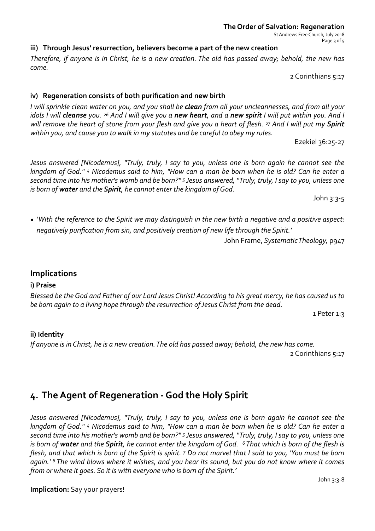St Andrews Free Church, July 2018 Page 3 of 5

## iii) Through Jesus' resurrection, believers become a part of the new creation

*Therefore, if anyone is in Christ, he is a new creation. The old has passed away; behold, the new has come.* 

2 Corinthians 5:17

## iv) Regeneration consists of both purification and new birth

*I* will sprinkle clean water on you, and you shall be clean from all your uncleannesses, and from all your *idols* I will **cleanse** you. <sup>26</sup> And I will give you a **new heart**, and a **new spirit** I will put within you. And I *will remove the heart of stone from your flesh and give you a heart of flesh.* 27 And I will put my **Spirit** within you, and cause you to walk in my statutes and be careful to obey my rules.

Ezekiel 36:25-27 

*Jesus* answered [Nicodemus], "Truly, truly, I say to you, unless one is born again he cannot see the *kingdom* of God." 4 Nicodemus said to him, "How can a man be born when he is old? Can he enter a second time into his mother's womb and be born?" <sup>5</sup> Jesus answered, "Truly, truly, I say to you, unless one *is* born of water and the Spirit, he cannot enter the kingdom of God.

 $John$  3:3-5

• *'With* the reference to the Spirit we may distinguish in the new birth a negative and a positive aspect: negatively purification from sin, and positively creation of new life through the Spirit.'

John Frame, Systematic Theology, p947

## **Implications**

### **i) Praise**

*Blessed be the God and Father of our Lord Jesus Christ! According to his great mercy, he has caused us to* be born again to a living hope through the resurrection of Jesus Christ from the dead.

1 Peter 1:3

## **ii)** Identity

*If* anyone is in Christ, he is a new creation. The old has passed away; behold, the new has come.

2 Corinthians 5:17

# 4. The Agent of Regeneration - God the Holy Spirit

*Jesus* answered [Nicodemus], "Truly, truly, I say to you, unless one is born again he cannot see the *kingdom* of God." 4 Nicodemus said to him, "How can a man be born when he is old? Can he enter a second time into his mother's womb and be born?" <sup>5</sup> Jesus answered, "Truly, truly, I say to you, unless one *is* born of water and the Spirit, he cannot enter the kingdom of God. <sup>6</sup> That which is born of the flesh is *flesh, and that which is born of the Spirit is spirit.* 7 Do not marvel that I said to you, 'You must be born again.' <sup>8</sup> The wind blows where it wishes, and you hear its sound, but you do not know where it comes from or where it goes. So it is with everyone who is born of the Spirit.'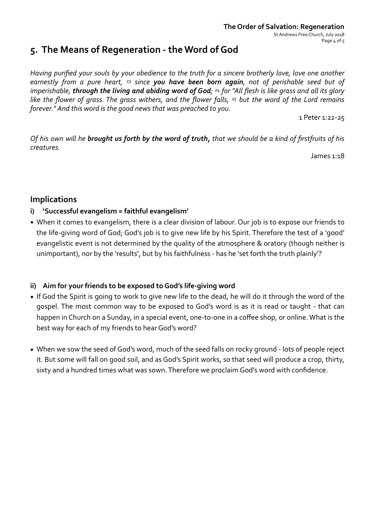## 5. The Means of Regeneration - the Word of God

*Having purified your souls by your obedience to the truth for a sincere brotherly love, love one another earnestly from a pure heart, <sup>23</sup> since you have been born again, not of perishable seed but of imperishable*, *through the living and abiding word of God*; <sup>24</sup> for "All flesh is like grass and all its glory *like the flower of grass. The grass withers, and the flower falls, <sup>25</sup> but the word of the Lord remains forever."* And this word is the good news that was preached to you.

1 Peter 1:22-25 

*Of his own will he brought us forth by the word of truth, that we should be a kind of firstfruits of his creatures.* 

James  $1:18$ 

## **Implications**

### **i)** 'Successful evangelism = faithful evangelism'

• When it comes to evangelism, there is a clear division of labour. Our job is to expose our friends to the life-giving word of God; God's job is to give new life by his Spirit. Therefore the test of a 'good' evangelistic event is not determined by the quality of the atmosphere & oratory (though neither is unimportant), nor by the 'results', but by his faithfulness - has he 'set forth the truth plainly'?

### ii) Aim for your friends to be exposed to God's life-giving word

- If God the Spirit is going to work to give new life to the dead, he will do it through the word of the gospel. The most common way to be exposed to God's word is as it is read or taught - that can happen in Church on a Sunday, in a special event, one-to-one in a coffee shop, or online. What is the best way for each of my friends to hear God's word?
- When we sow the seed of God's word, much of the seed falls on rocky ground lots of people reject it. But some will fall on good soil, and as God's Spirit works, so that seed will produce a crop, thirty, sixty and a hundred times what was sown. Therefore we proclaim God's word with confidence.